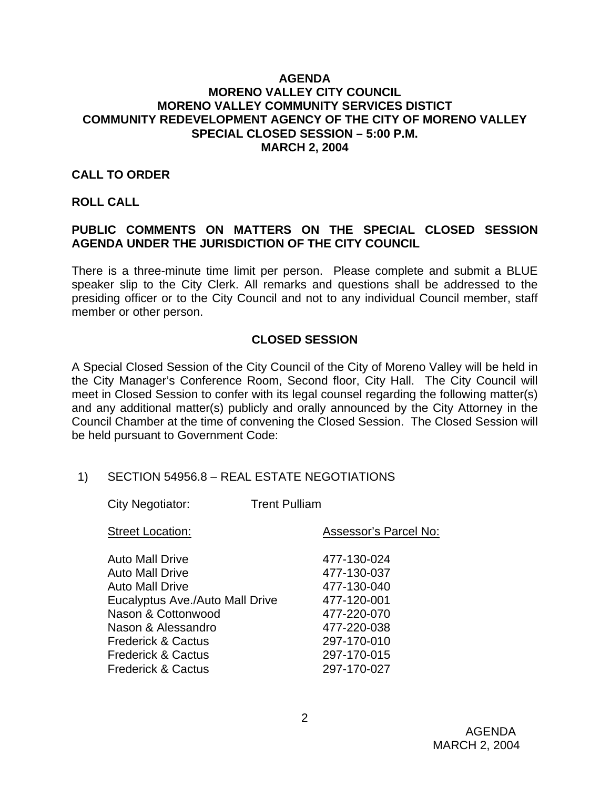## **AGENDA MORENO VALLEY CITY COUNCIL MORENO VALLEY COMMUNITY SERVICES DISTICT COMMUNITY REDEVELOPMENT AGENCY OF THE CITY OF MORENO VALLEY SPECIAL CLOSED SESSION – 5:00 P.M. MARCH 2, 2004**

## **CALL TO ORDER**

#### **ROLL CALL**

## **PUBLIC COMMENTS ON MATTERS ON THE SPECIAL CLOSED SESSION AGENDA UNDER THE JURISDICTION OF THE CITY COUNCIL**

There is a three-minute time limit per person. Please complete and submit a BLUE speaker slip to the City Clerk. All remarks and questions shall be addressed to the presiding officer or to the City Council and not to any individual Council member, staff member or other person.

## **CLOSED SESSION**

A Special Closed Session of the City Council of the City of Moreno Valley will be held in the City Manager's Conference Room, Second floor, City Hall. The City Council will meet in Closed Session to confer with its legal counsel regarding the following matter(s) and any additional matter(s) publicly and orally announced by the City Attorney in the Council Chamber at the time of convening the Closed Session. The Closed Session will be held pursuant to Government Code:

#### 1) SECTION 54956.8 – REAL ESTATE NEGOTIATIONS

City Negotiator: Trent Pulliam

| <b>Street Location:</b>                                                                                                                                                                                                                                      | Assessor's Parcel No:                                                                                                               |
|--------------------------------------------------------------------------------------------------------------------------------------------------------------------------------------------------------------------------------------------------------------|-------------------------------------------------------------------------------------------------------------------------------------|
| <b>Auto Mall Drive</b><br><b>Auto Mall Drive</b><br><b>Auto Mall Drive</b><br>Eucalyptus Ave./Auto Mall Drive<br>Nason & Cottonwood<br>Nason & Alessandro<br><b>Frederick &amp; Cactus</b><br><b>Frederick &amp; Cactus</b><br><b>Frederick &amp; Cactus</b> | 477-130-024<br>477-130-037<br>477-130-040<br>477-120-001<br>477-220-070<br>477-220-038<br>297-170-010<br>297-170-015<br>297-170-027 |
|                                                                                                                                                                                                                                                              |                                                                                                                                     |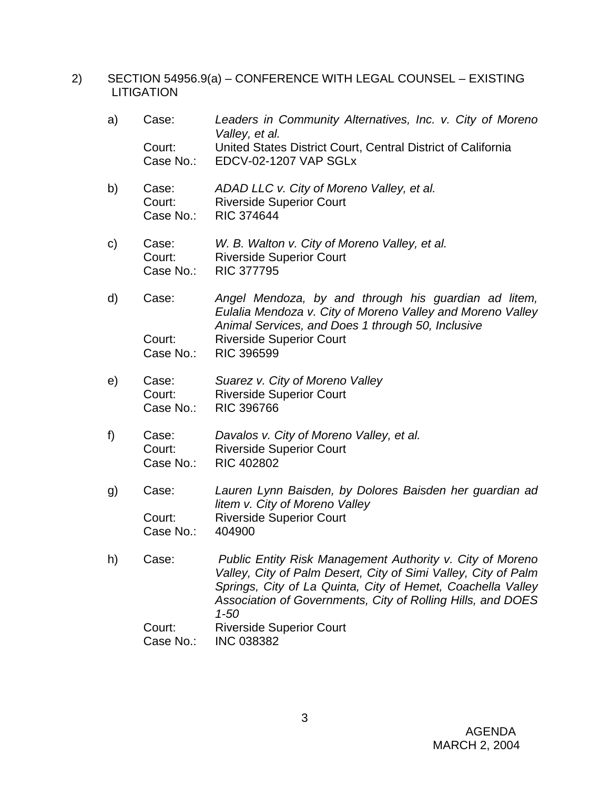2) SECTION 54956.9(a) – CONFERENCE WITH LEGAL COUNSEL – EXISTING LITIGATION

| a) | Case:               | Leaders in Community Alternatives, Inc. v. City of Moreno<br>Valley, et al.                                                                                                                                                                                           |
|----|---------------------|-----------------------------------------------------------------------------------------------------------------------------------------------------------------------------------------------------------------------------------------------------------------------|
|    | Court:<br>Case No.: | United States District Court, Central District of California<br>EDCV-02-1207 VAP SGLx                                                                                                                                                                                 |
|    |                     |                                                                                                                                                                                                                                                                       |
| b) | Case:<br>Court:     | ADAD LLC v. City of Moreno Valley, et al.<br><b>Riverside Superior Court</b>                                                                                                                                                                                          |
|    | Case No.:           | <b>RIC 374644</b>                                                                                                                                                                                                                                                     |
| C) | Case:               | W. B. Walton v. City of Moreno Valley, et al.                                                                                                                                                                                                                         |
|    | Court:<br>Case No.: | <b>Riverside Superior Court</b><br><b>RIC 377795</b>                                                                                                                                                                                                                  |
|    |                     |                                                                                                                                                                                                                                                                       |
| d) | Case:               | Angel Mendoza, by and through his guardian ad litem,<br>Eulalia Mendoza v. City of Moreno Valley and Moreno Valley<br>Animal Services, and Does 1 through 50, Inclusive                                                                                               |
|    | Court:              | <b>Riverside Superior Court</b>                                                                                                                                                                                                                                       |
|    | Case No.:           | <b>RIC 396599</b>                                                                                                                                                                                                                                                     |
| e) | Case:               | Suarez v. City of Moreno Valley                                                                                                                                                                                                                                       |
|    | Court:<br>Case No.: | <b>Riverside Superior Court</b><br><b>RIC 396766</b>                                                                                                                                                                                                                  |
|    |                     |                                                                                                                                                                                                                                                                       |
| f) | Case:<br>Court:     | Davalos v. City of Moreno Valley, et al.<br><b>Riverside Superior Court</b>                                                                                                                                                                                           |
|    | Case No.:           | <b>RIC 402802</b>                                                                                                                                                                                                                                                     |
| g) | Case:               | Lauren Lynn Baisden, by Dolores Baisden her guardian ad                                                                                                                                                                                                               |
|    |                     | litem v. City of Moreno Valley                                                                                                                                                                                                                                        |
|    | Court:<br>Case No.: | <b>Riverside Superior Court</b><br>404900                                                                                                                                                                                                                             |
|    |                     |                                                                                                                                                                                                                                                                       |
| h) | Case:               | Public Entity Risk Management Authority v. City of Moreno<br>Valley, City of Palm Desert, City of Simi Valley, City of Palm<br>Springs, City of La Quinta, City of Hemet, Coachella Valley<br>Association of Governments, City of Rolling Hills, and DOES<br>$1 - 50$ |
|    | Court:              | <b>Riverside Superior Court</b>                                                                                                                                                                                                                                       |
|    | Case No.:           | <b>INC 038382</b>                                                                                                                                                                                                                                                     |